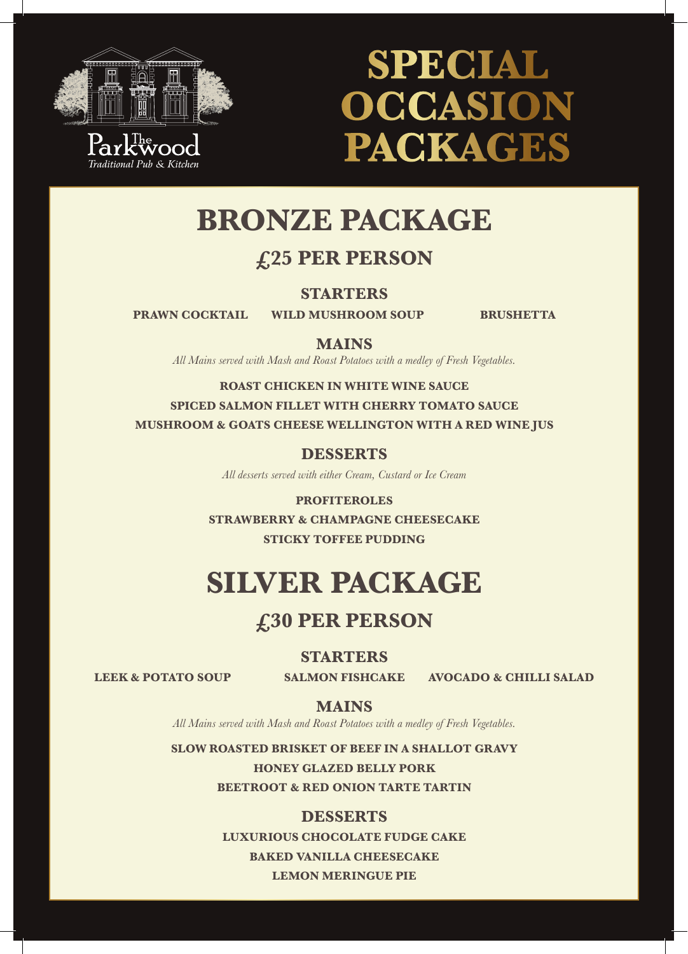

# **SPECIAL OCCASION PACKAGES**

# **BRONZE PACKAGE**

# **£25 PER PERSON**

**STARTERS**

**PRAWN COCKTAIL WILD MUSHROOM SOUP BRUSHETTA** 

### **MAINS**

*All Mains served with Mash and Roast Potatoes with a medley of Fresh Vegetables.*

**ROAST CHICKEN IN WHITE WINE SAUCE SPICED SALMON FILLET WITH CHERRY TOMATO SAUCE MUSHROOM & GOATS CHEESE WELLINGTON WITH A RED WINE JUS**

**DESSERTS**

*All desserts served with either Cream, Custard or Ice Cream*

**PROFITEROLES STRAWBERRY & CHAMPAGNE CHEESECAKE STICKY TOFFEE PUDDING**

# **SILVER PACKAGE**

## **£30 PER PERSON**

**STARTERS**

**LEEK & POTATO SOUP SALMON FISHCAKE AVOCADO & CHILLI SALAD**

**MAINS**

*All Mains served with Mash and Roast Potatoes with a medley of Fresh Vegetables.*

**SLOW ROASTED BRISKET OF BEEF IN A SHALLOT GRAVY**

**HONEY GLAZED BELLY PORK BEETROOT & RED ONION TARTE TARTIN**

### **DESSERTS**

**LUXURIOUS CHOCOLATE FUDGE CAKE BAKED VANILLA CHEESECAKE LEMON MERINGUE PIE**